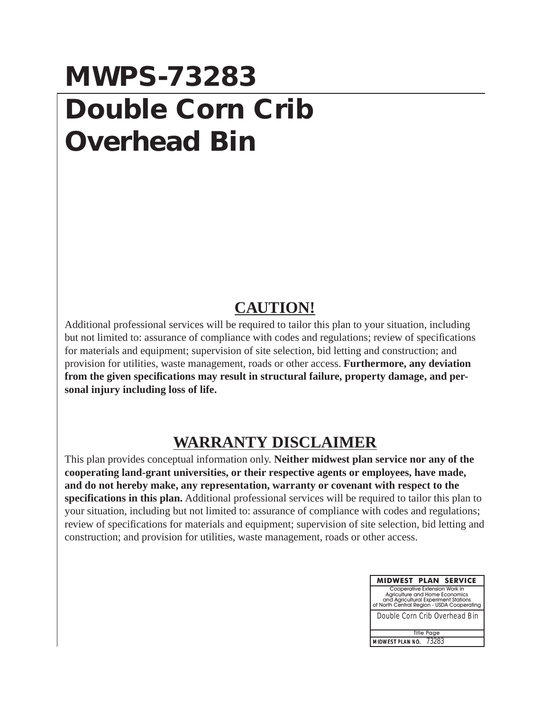## **MWPS-73283 Double Corn Crib Overhead Bin**

## **CAUTION!**

Additional professional services will be required to tailor this plan to your situation, including but not limited to: assurance of compliance with codes and regulations; review of specifications for materials and equipment; supervision of site selection, bid letting and construction; and provision for utilities, waste management, roads or other access. **Furthermore, any deviation from the given specifications may result in structural failure, property damage, and personal injury including loss of life.**

## **WARRANTY DISCLAIMER**

This plan provides conceptual information only. **Neither midwest plan service nor any of the cooperating land-grant universities, or their respective agents or employees, have made, and do not hereby make, any representation, warranty or covenant with respect to the specifications in this plan.** Additional professional services will be required to tailor this plan to your situation, including but not limited to: assurance of compliance with codes and regulations; review of specifications for materials and equipment; supervision of site selection, bid letting and construction; and provision for utilities, waste management, roads or other access.

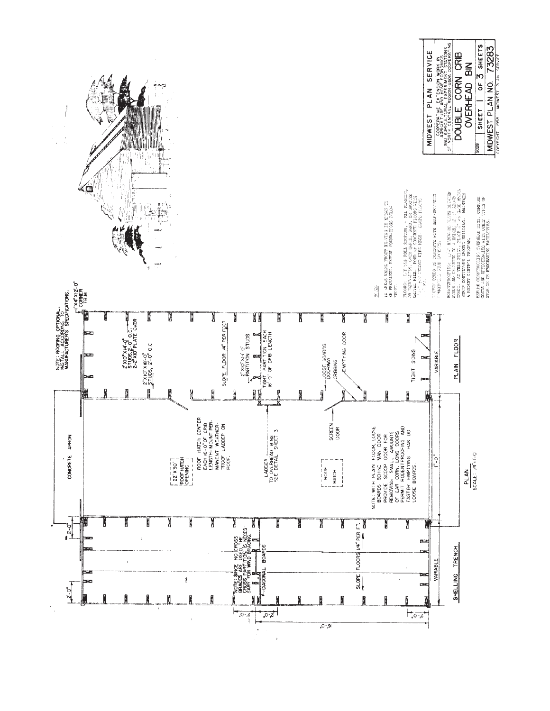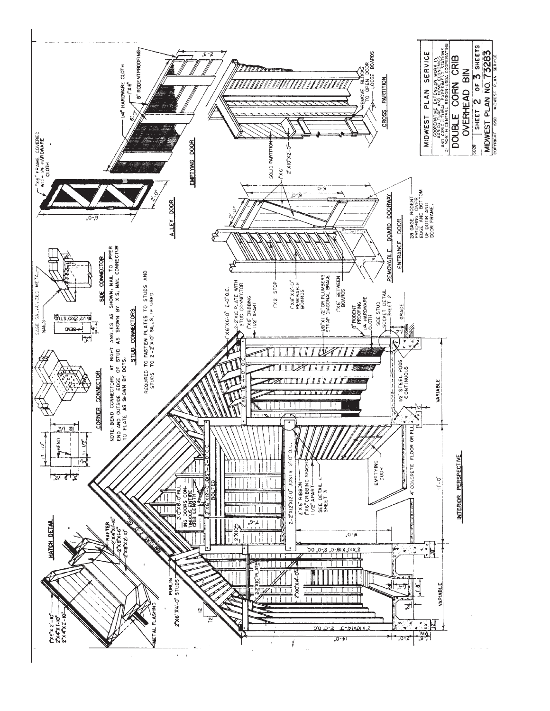